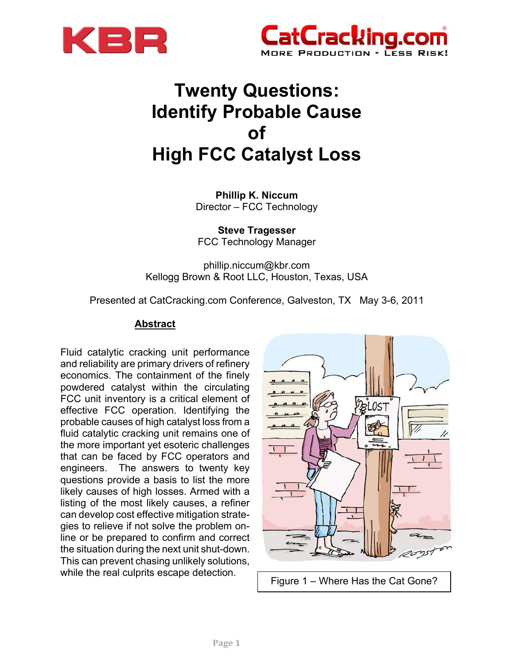



**Phillip K. Niccum**  Director – FCC Technology

**Steve Tragesser**  FCC Technology Manager

phillip.niccum@kbr.com Kellogg Brown & Root LLC, Houston, Texas, USA

Presented at CatCracking.com Conference, Galveston, TX May 3-6, 2011

# **Abstract**

Fluid catalytic cracking unit performance and reliability are primary drivers of refinery economics. The containment of the finely powdered catalyst within the circulating FCC unit inventory is a critical element of effective FCC operation. Identifying the probable causes of high catalyst loss from a fluid catalytic cracking unit remains one of the more important yet esoteric challenges that can be faced by FCC operators and engineers. The answers to twenty key questions provide a basis to list the more likely causes of high losses. Armed with a listing of the most likely causes, a refiner can develop cost effective mitigation strategies to relieve if not solve the problem online or be prepared to confirm and correct the situation during the next unit shut-down. This can prevent chasing unlikely solutions, while the real culprits escape detection.<br>
Figure 1 – Where Has the Cat Gone?

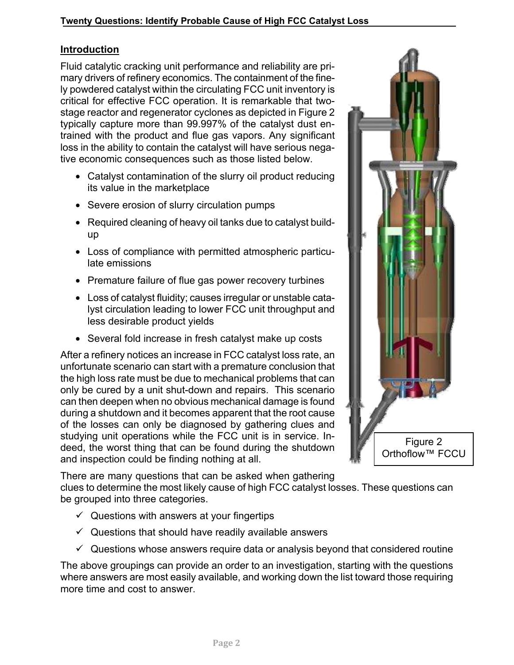# **Introduction**

Fluid catalytic cracking unit performance and reliability are primary drivers of refinery economics. The containment of the finely powdered catalyst within the circulating FCC unit inventory is critical for effective FCC operation. It is remarkable that twostage reactor and regenerator cyclones as depicted in Figure 2 typically capture more than 99.997% of the catalyst dust entrained with the product and flue gas vapors. Any significant loss in the ability to contain the catalyst will have serious negative economic consequences such as those listed below.

- Catalyst contamination of the slurry oil product reducing its value in the marketplace
- Severe erosion of slurry circulation pumps
- Required cleaning of heavy oil tanks due to catalyst buildup
- Loss of compliance with permitted atmospheric particulate emissions
- Premature failure of flue gas power recovery turbines
- Loss of catalyst fluidity; causes irregular or unstable catalyst circulation leading to lower FCC unit throughput and less desirable product yields
- Several fold increase in fresh catalyst make up costs

After a refinery notices an increase in FCC catalyst loss rate, an unfortunate scenario can start with a premature conclusion that the high loss rate must be due to mechanical problems that can only be cured by a unit shut-down and repairs. This scenario can then deepen when no obvious mechanical damage is found during a shutdown and it becomes apparent that the root cause of the losses can only be diagnosed by gathering clues and studying unit operations while the FCC unit is in service. Indeed, the worst thing that can be found during the shutdown and inspection could be finding nothing at all.

Figure 2 Orthoflow<sup>™</sup> FCCU

There are many questions that can be asked when gathering clues to determine the most likely cause of high FCC catalyst losses. These questions can be grouped into three categories.

- $\checkmark$  Questions with answers at your fingertips
- $\checkmark$  Questions that should have readily available answers
- $\checkmark$  Questions whose answers require data or analysis beyond that considered routine

The above groupings can provide an order to an investigation, starting with the questions where answers are most easily available, and working down the list toward those requiring more time and cost to answer.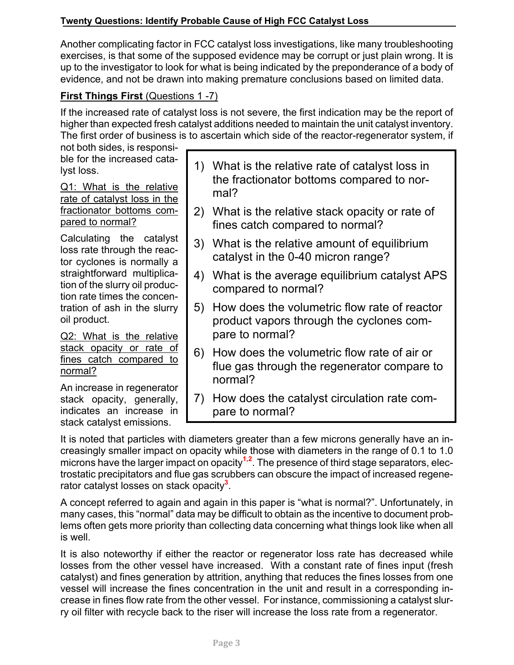Another complicating factor in FCC catalyst loss investigations, like many troubleshooting exercises, is that some of the supposed evidence may be corrupt or just plain wrong. It is up to the investigator to look for what is being indicated by the preponderance of a body of evidence, and not be drawn into making premature conclusions based on limited data.

# **First Things First** (Questions 1 -7)

If the increased rate of catalyst loss is not severe, the first indication may be the report of higher than expected fresh catalyst additions needed to maintain the unit catalyst inventory. The first order of business is to ascertain which side of the reactor-regenerator system, if

not both sides, is responsible for the increased catalyst loss.

Q1: What is the relative rate of catalyst loss in the fractionator bottoms compared to normal?

Calculating the catalyst loss rate through the reactor cyclones is normally a straightforward multiplication of the slurry oil production rate times the concentration of ash in the slurry oil product.

Q2: What is the relative stack opacity or rate of fines catch compared to normal?

An increase in regenerator stack opacity, generally, indicates an increase in stack catalyst emissions.

- 1) What is the relative rate of catalyst loss in the fractionator bottoms compared to normal?
- 2) What is the relative stack opacity or rate of fines catch compared to normal?
- 3) What is the relative amount of equilibrium catalyst in the 0-40 micron range?
- 4) What is the average equilibrium catalyst APS compared to normal?
- 5) How does the volumetric flow rate of reactor product vapors through the cyclones compare to normal?
- 6) How does the volumetric flow rate of air or flue gas through the regenerator compare to normal?
- 7) How does the catalyst circulation rate compare to normal?

It is noted that particles with diameters greater than a few microns generally have an increasingly smaller impact on opacity while those with diameters in the range of 0.1 to 1.0 microns have the larger impact on opacity<sup>1,2</sup>. The presence of third stage separators, electrostatic precipitators and flue gas scrubbers can obscure the impact of increased regenerator catalyst losses on stack opacity**<sup>3</sup>** .

A concept referred to again and again in this paper is "what is normal?". Unfortunately, in many cases, this "normal" data may be difficult to obtain as the incentive to document problems often gets more priority than collecting data concerning what things look like when all is well.

It is also noteworthy if either the reactor or regenerator loss rate has decreased while losses from the other vessel have increased. With a constant rate of fines input (fresh catalyst) and fines generation by attrition, anything that reduces the fines losses from one vessel will increase the fines concentration in the unit and result in a corresponding increase in fines flow rate from the other vessel. For instance, commissioning a catalyst slurry oil filter with recycle back to the riser will increase the loss rate from a regenerator.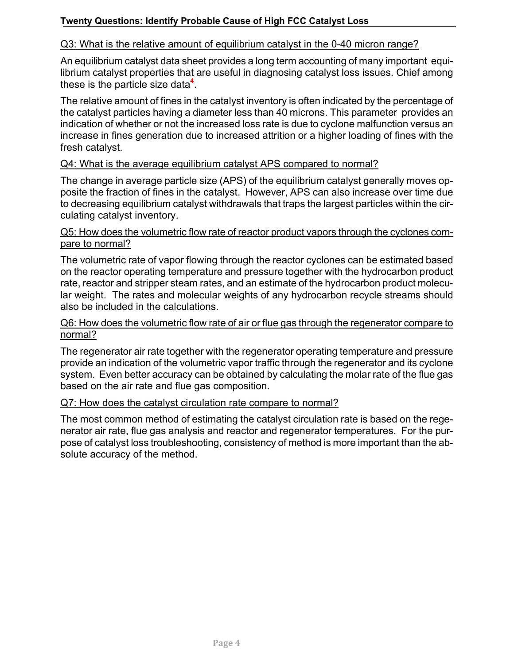## Q3: What is the relative amount of equilibrium catalyst in the 0-40 micron range?

An equilibrium catalyst data sheet provides a long term accounting of many important equilibrium catalyst properties that are useful in diagnosing catalyst loss issues. Chief among these is the particle size data**<sup>4</sup>** .

The relative amount of fines in the catalyst inventory is often indicated by the percentage of the catalyst particles having a diameter less than 40 microns. This parameter provides an indication of whether or not the increased loss rate is due to cyclone malfunction versus an increase in fines generation due to increased attrition or a higher loading of fines with the fresh catalyst.

#### Q4: What is the average equilibrium catalyst APS compared to normal?

The change in average particle size (APS) of the equilibrium catalyst generally moves opposite the fraction of fines in the catalyst. However, APS can also increase over time due to decreasing equilibrium catalyst withdrawals that traps the largest particles within the circulating catalyst inventory.

#### Q5: How does the volumetric flow rate of reactor product vapors through the cyclones compare to normal?

The volumetric rate of vapor flowing through the reactor cyclones can be estimated based on the reactor operating temperature and pressure together with the hydrocarbon product rate, reactor and stripper steam rates, and an estimate of the hydrocarbon product molecular weight. The rates and molecular weights of any hydrocarbon recycle streams should also be included in the calculations.

#### Q6: How does the volumetric flow rate of air or flue gas through the regenerator compare to normal?

The regenerator air rate together with the regenerator operating temperature and pressure provide an indication of the volumetric vapor traffic through the regenerator and its cyclone system. Even better accuracy can be obtained by calculating the molar rate of the flue gas based on the air rate and flue gas composition.

#### Q7: How does the catalyst circulation rate compare to normal?

The most common method of estimating the catalyst circulation rate is based on the regenerator air rate, flue gas analysis and reactor and regenerator temperatures. For the purpose of catalyst loss troubleshooting, consistency of method is more important than the absolute accuracy of the method.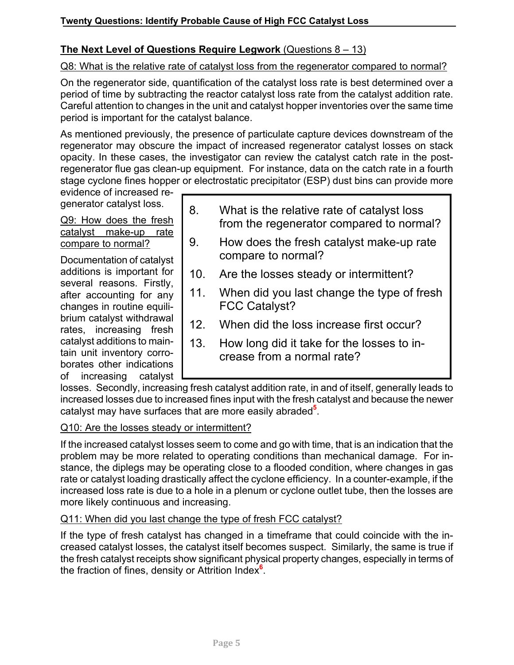# **The Next Level of Questions Require Legwork** (Questions 8 – 13)

## Q8: What is the relative rate of catalyst loss from the regenerator compared to normal?

On the regenerator side, quantification of the catalyst loss rate is best determined over a period of time by subtracting the reactor catalyst loss rate from the catalyst addition rate. Careful attention to changes in the unit and catalyst hopper inventories over the same time period is important for the catalyst balance.

As mentioned previously, the presence of particulate capture devices downstream of the regenerator may obscure the impact of increased regenerator catalyst losses on stack opacity. In these cases, the investigator can review the catalyst catch rate in the postregenerator flue gas clean-up equipment. For instance, data on the catch rate in a fourth stage cyclone fines hopper or electrostatic precipitator (ESP) dust bins can provide more

evidence of increased regenerator catalyst loss.

# Q9: How does the fresh catalyst make-up rate compare to normal?

Documentation of catalyst additions is important for several reasons. Firstly, after accounting for any changes in routine equilibrium catalyst withdrawal rates, increasing fresh catalyst additions to maintain unit inventory corroborates other indications of increasing catalyst

- 8. What is the relative rate of catalyst loss from the regenerator compared to normal?
- 9. How does the fresh catalyst make-up rate compare to normal?
- 10. Are the losses steady or intermittent?
- 11. When did you last change the type of fresh FCC Catalyst?
- 12. When did the loss increase first occur?
- 13. How long did it take for the losses to increase from a normal rate?

losses. Secondly, increasing fresh catalyst addition rate, in and of itself, generally leads to increased losses due to increased fines input with the fresh catalyst and because the newer catalyst may have surfaces that are more easily abraded**<sup>5</sup>** .

## Q10: Are the losses steady or intermittent?

If the increased catalyst losses seem to come and go with time, that is an indication that the problem may be more related to operating conditions than mechanical damage. For instance, the diplegs may be operating close to a flooded condition, where changes in gas rate or catalyst loading drastically affect the cyclone efficiency. In a counter-example, if the increased loss rate is due to a hole in a plenum or cyclone outlet tube, then the losses are more likely continuous and increasing.

## Q11: When did you last change the type of fresh FCC catalyst?

If the type of fresh catalyst has changed in a timeframe that could coincide with the increased catalyst losses, the catalyst itself becomes suspect. Similarly, the same is true if the fresh catalyst receipts show significant physical property changes, especially in terms of the fraction of fines, density or Attrition Index**<sup>6</sup>** .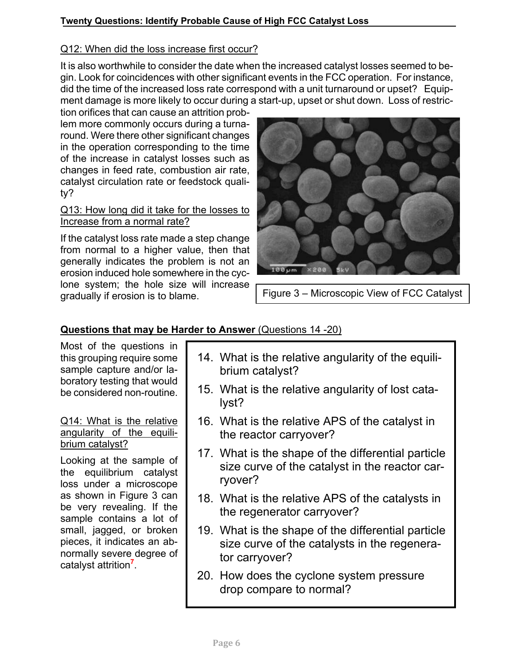# Q12: When did the loss increase first occur?

It is also worthwhile to consider the date when the increased catalyst losses seemed to begin. Look for coincidences with other significant events in the FCC operation. For instance, did the time of the increased loss rate correspond with a unit turnaround or upset? Equipment damage is more likely to occur during a start-up, upset or shut down. Loss of restric-

tion orifices that can cause an attrition problem more commonly occurs during a turnaround. Were there other significant changes in the operation corresponding to the time of the increase in catalyst losses such as changes in feed rate, combustion air rate, catalyst circulation rate or feedstock quality?

## Q13: How long did it take for the losses to Increase from a normal rate?

If the catalyst loss rate made a step change from normal to a higher value, then that generally indicates the problem is not an erosion induced hole somewhere in the cyclone system; the hole size will increase gradually if erosion is to blame.



Figure 3 – Microscopic View of FCC Catalyst

# **Questions that may be Harder to Answer** (Questions 14 -20)

Most of the questions in this grouping require some sample capture and/or laboratory testing that would be considered non-routine.

## Q14: What is the relative angularity of the equilibrium catalyst?

Looking at the sample of the equilibrium catalyst loss under a microscope as shown in Figure 3 can be very revealing. If the sample contains a lot of small, jagged, or broken pieces, it indicates an abnormally severe degree of catalyst attrition**<sup>7</sup>** .

- 14. What is the relative angularity of the equilibrium catalyst?
- 15. What is the relative angularity of lost catalyst?
- 16. What is the relative APS of the catalyst in the reactor carryover?
- 17. What is the shape of the differential particle size curve of the catalyst in the reactor carryover?
- 18. What is the relative APS of the catalysts in the regenerator carryover?
- 19. What is the shape of the differential particle size curve of the catalysts in the regenerator carryover?
- 20. How does the cyclone system pressure drop compare to normal?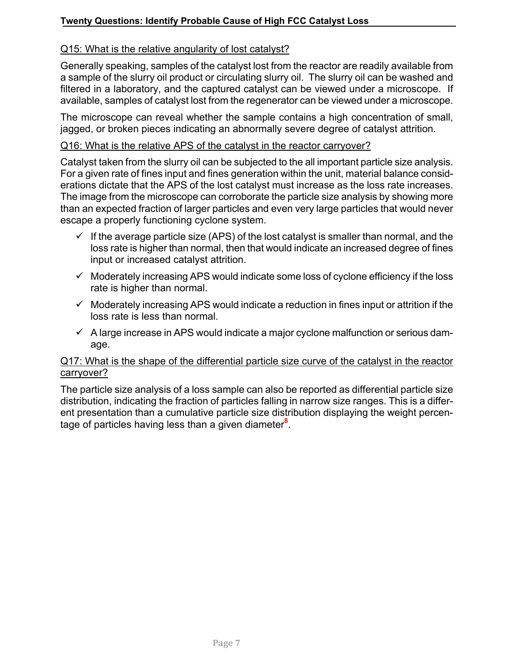## Q15: What is the relative angularity of lost catalyst?

Generally speaking, samples of the catalyst lost from the reactor are readily available from a sample of the slurry oil product or circulating slurry oil. The slurry oil can be washed and filtered in a laboratory, and the captured catalyst can be viewed under a microscope. If available, samples of catalyst lost from the regenerator can be viewed under a microscope.

The microscope can reveal whether the sample contains a high concentration of small, jagged, or broken pieces indicating an abnormally severe degree of catalyst attrition.

## Q16: What is the relative APS of the catalyst in the reactor carryover?

Catalyst taken from the slurry oil can be subjected to the all important particle size analysis. For a given rate of fines input and fines generation within the unit, material balance considerations dictate that the APS of the lost catalyst must increase as the loss rate increases. The image from the microscope can corroborate the particle size analysis by showing more than an expected fraction of larger particles and even very large particles that would never escape a properly functioning cyclone system.

- $\checkmark$  If the average particle size (APS) of the lost catalyst is smaller than normal, and the loss rate is higher than normal, then that would indicate an increased degree of fines input or increased catalyst attrition.
- $\checkmark$  Moderately increasing APS would indicate some loss of cyclone efficiency if the loss rate is higher than normal.
- $\checkmark$  Moderately increasing APS would indicate a reduction in fines input or attrition if the loss rate is less than normal.
- $\checkmark$  A large increase in APS would indicate a major cyclone malfunction or serious damage.

## Q17: What is the shape of the differential particle size curve of the catalyst in the reactor carryover?

The particle size analysis of a loss sample can also be reported as differential particle size distribution, indicating the fraction of particles falling in narrow size ranges. This is a different presentation than a cumulative particle size distribution displaying the weight percentage of particles having less than a given diameter**<sup>8</sup>** .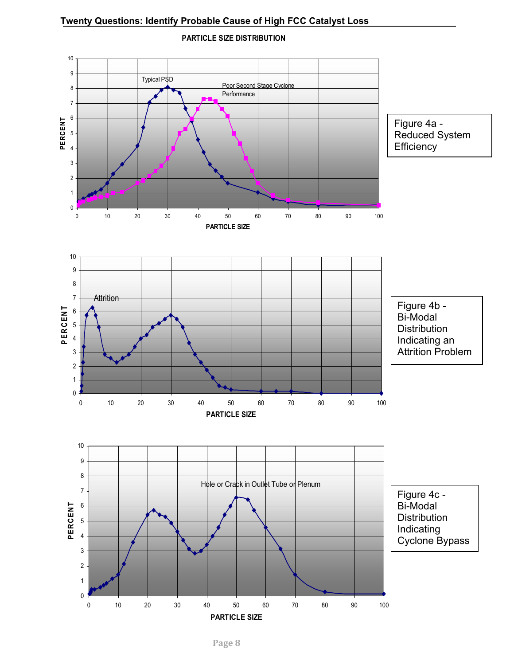

**PARTICLE SIZE DISTRIBUTION**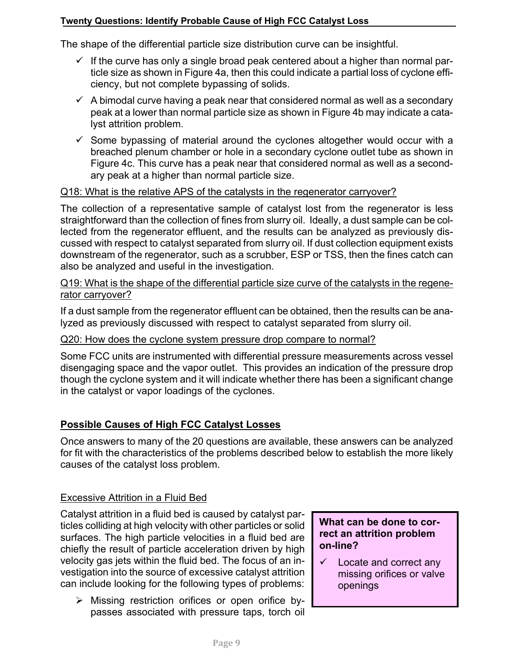The shape of the differential particle size distribution curve can be insightful.

- $\checkmark$  If the curve has only a single broad peak centered about a higher than normal particle size as shown in Figure 4a, then this could indicate a partial loss of cyclone efficiency, but not complete bypassing of solids.
- $\checkmark$  A bimodal curve having a peak near that considered normal as well as a secondary peak at a lower than normal particle size as shown in Figure 4b may indicate a catalyst attrition problem.
- $\checkmark$  Some bypassing of material around the cyclones altogether would occur with a breached plenum chamber or hole in a secondary cyclone outlet tube as shown in Figure 4c. This curve has a peak near that considered normal as well as a secondary peak at a higher than normal particle size.

## Q18: What is the relative APS of the catalysts in the regenerator carryover?

The collection of a representative sample of catalyst lost from the regenerator is less straightforward than the collection of fines from slurry oil. Ideally, a dust sample can be collected from the regenerator effluent, and the results can be analyzed as previously discussed with respect to catalyst separated from slurry oil. If dust collection equipment exists downstream of the regenerator, such as a scrubber, ESP or TSS, then the fines catch can also be analyzed and useful in the investigation.

## Q19: What is the shape of the differential particle size curve of the catalysts in the regenerator carryover?

If a dust sample from the regenerator effluent can be obtained, then the results can be analyzed as previously discussed with respect to catalyst separated from slurry oil.

#### Q20: How does the cyclone system pressure drop compare to normal?

Some FCC units are instrumented with differential pressure measurements across vessel disengaging space and the vapor outlet. This provides an indication of the pressure drop though the cyclone system and it will indicate whether there has been a significant change in the catalyst or vapor loadings of the cyclones.

## **Possible Causes of High FCC Catalyst Losses**

Once answers to many of the 20 questions are available, these answers can be analyzed for fit with the characteristics of the problems described below to establish the more likely causes of the catalyst loss problem.

#### Excessive Attrition in a Fluid Bed

Catalyst attrition in a fluid bed is caused by catalyst particles colliding at high velocity with other particles or solid surfaces. The high particle velocities in a fluid bed are chiefly the result of particle acceleration driven by high velocity gas jets within the fluid bed. The focus of an investigation into the source of excessive catalyst attrition can include looking for the following types of problems:

 $\triangleright$  Missing restriction orifices or open orifice bypasses associated with pressure taps, torch oil

## **What can be done to correct an attrition problem on-line?**

 $\checkmark$  Locate and correct any missing orifices or valve openings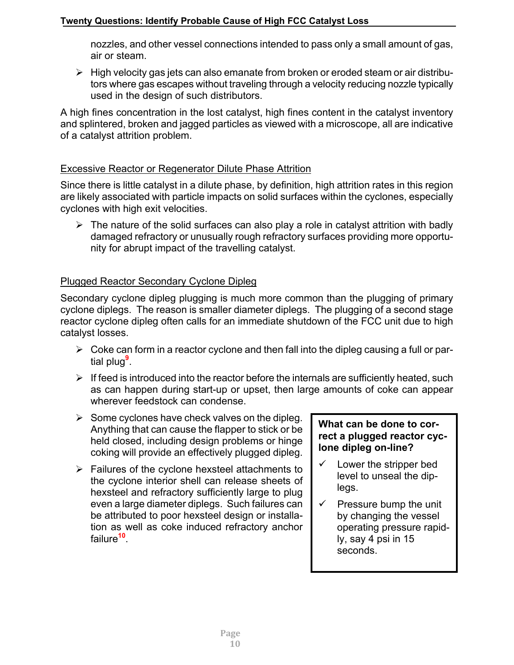nozzles, and other vessel connections intended to pass only a small amount of gas, air or steam.

 $\triangleright$  High velocity gas jets can also emanate from broken or eroded steam or air distributors where gas escapes without traveling through a velocity reducing nozzle typically used in the design of such distributors.

A high fines concentration in the lost catalyst, high fines content in the catalyst inventory and splintered, broken and jagged particles as viewed with a microscope, all are indicative of a catalyst attrition problem.

# Excessive Reactor or Regenerator Dilute Phase Attrition

Since there is little catalyst in a dilute phase, by definition, high attrition rates in this region are likely associated with particle impacts on solid surfaces within the cyclones, especially cyclones with high exit velocities.

 $\triangleright$  The nature of the solid surfaces can also play a role in catalyst attrition with badly damaged refractory or unusually rough refractory surfaces providing more opportunity for abrupt impact of the travelling catalyst.

# Plugged Reactor Secondary Cyclone Dipleg

Secondary cyclone dipleg plugging is much more common than the plugging of primary cyclone diplegs. The reason is smaller diameter diplegs. The plugging of a second stage reactor cyclone dipleg often calls for an immediate shutdown of the FCC unit due to high catalyst losses.

- $\triangleright$  Coke can form in a reactor cyclone and then fall into the dipleg causing a full or partial plug**<sup>9</sup>** .
- $\triangleright$  If feed is introduced into the reactor before the internals are sufficiently heated, such as can happen during start-up or upset, then large amounts of coke can appear wherever feedstock can condense.
- $\triangleright$  Some cyclones have check valves on the dipleg. Anything that can cause the flapper to stick or be held closed, including design problems or hinge coking will provide an effectively plugged dipleg.
- $\triangleright$  Failures of the cyclone hexsteel attachments to the cyclone interior shell can release sheets of hexsteel and refractory sufficiently large to plug even a large diameter diplegs. Such failures can be attributed to poor hexsteel design or installation as well as coke induced refractory anchor failure**<sup>10</sup>**.

# **What can be done to correct a plugged reactor cyclone dipleg on-line?**

- $\checkmark$  Lower the stripper bed level to unseal the diplegs.
- $\checkmark$  Pressure bump the unit by changing the vessel operating pressure rapidly, say 4 psi in 15 seconds.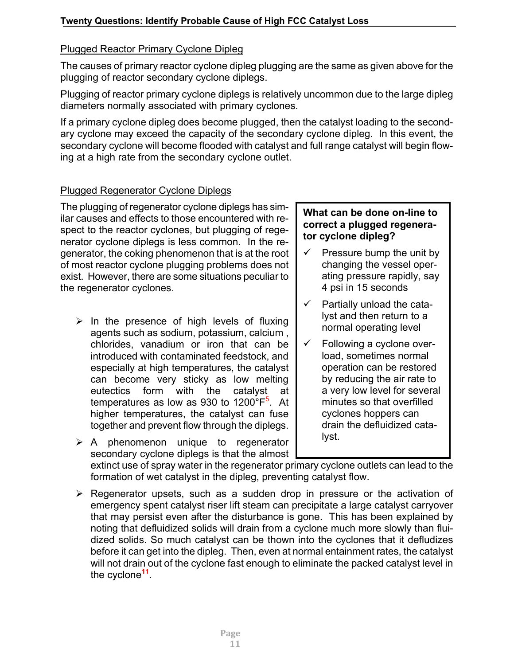# Plugged Reactor Primary Cyclone Dipleg

The causes of primary reactor cyclone dipleg plugging are the same as given above for the plugging of reactor secondary cyclone diplegs.

Plugging of reactor primary cyclone diplegs is relatively uncommon due to the large dipleg diameters normally associated with primary cyclones.

If a primary cyclone dipleg does become plugged, then the catalyst loading to the secondary cyclone may exceed the capacity of the secondary cyclone dipleg. In this event, the secondary cyclone will become flooded with catalyst and full range catalyst will begin flowing at a high rate from the secondary cyclone outlet.

# Plugged Regenerator Cyclone Diplegs

The plugging of regenerator cyclone diplegs has similar causes and effects to those encountered with respect to the reactor cyclones, but plugging of regenerator cyclone diplegs is less common. In the regenerator, the coking phenomenon that is at the root of most reactor cyclone plugging problems does not exist. However, there are some situations peculiar to the regenerator cyclones.

- $\triangleright$  In the presence of high levels of fluxing agents such as sodium, potassium, calcium , chlorides, vanadium or iron that can be introduced with contaminated feedstock, and especially at high temperatures, the catalyst can become very sticky as low melting eutectics form with the catalyst at temperatures as low as 930 to 1200°F<sup>5</sup>. At higher temperatures, the catalyst can fuse together and prevent flow through the diplegs.
- $\triangleright$  A phenomenon unique to regenerator secondary cyclone diplegs is that the almost

# **What can be done on-line to correct a plugged regenerator cyclone dipleg?**

- $\checkmark$  Pressure bump the unit by changing the vessel operating pressure rapidly, say 4 psi in 15 seconds
- $\checkmark$  Partially unload the catalyst and then return to a normal operating level
- $\checkmark$  Following a cyclone overload, sometimes normal operation can be restored by reducing the air rate to a very low level for several minutes so that overfilled cyclones hoppers can drain the defluidized catalyst.

extinct use of spray water in the regenerator primary cyclone outlets can lead to the formation of wet catalyst in the dipleg, preventing catalyst flow.

 $\triangleright$  Regenerator upsets, such as a sudden drop in pressure or the activation of emergency spent catalyst riser lift steam can precipitate a large catalyst carryover that may persist even after the disturbance is gone. This has been explained by noting that defluidized solids will drain from a cyclone much more slowly than fluidized solids. So much catalyst can be thown into the cyclones that it defludizes before it can get into the dipleg. Then, even at normal entainment rates, the catalyst will not drain out of the cyclone fast enough to eliminate the packed catalyst level in the cyclone**<sup>11</sup>**.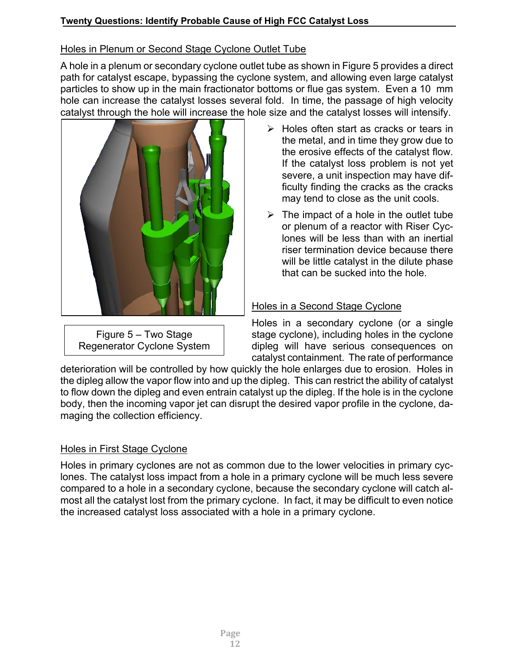# Holes in Plenum or Second Stage Cyclone Outlet Tube

A hole in a plenum or secondary cyclone outlet tube as shown in Figure 5 provides a direct path for catalyst escape, bypassing the cyclone system, and allowing even large catalyst particles to show up in the main fractionator bottoms or flue gas system. Even a 10 mm hole can increase the catalyst losses several fold. In time, the passage of high velocity catalyst through the hole will increase the hole size and the catalyst losses will intensify.



Figure 5 – Two Stage Regenerator Cyclone System

- $\triangleright$  Holes often start as cracks or tears in the metal, and in time they grow due to the erosive effects of the catalyst flow. If the catalyst loss problem is not yet severe, a unit inspection may have difficulty finding the cracks as the cracks may tend to close as the unit cools.
- $\triangleright$  The impact of a hole in the outlet tube or plenum of a reactor with Riser Cyclones will be less than with an inertial riser termination device because there will be little catalyst in the dilute phase that can be sucked into the hole.

## Holes in a Second Stage Cyclone

Holes in a secondary cyclone (or a single stage cyclone), including holes in the cyclone dipleg will have serious consequences on catalyst containment. The rate of performance

deterioration will be controlled by how quickly the hole enlarges due to erosion. Holes in the dipleg allow the vapor flow into and up the dipleg. This can restrict the ability of catalyst to flow down the dipleg and even entrain catalyst up the dipleg. If the hole is in the cyclone body, then the incoming vapor jet can disrupt the desired vapor profile in the cyclone, damaging the collection efficiency.

## Holes in First Stage Cyclone

Holes in primary cyclones are not as common due to the lower velocities in primary cyclones. The catalyst loss impact from a hole in a primary cyclone will be much less severe compared to a hole in a secondary cyclone, because the secondary cyclone will catch almost all the catalyst lost from the primary cyclone. In fact, it may be difficult to even notice the increased catalyst loss associated with a hole in a primary cyclone.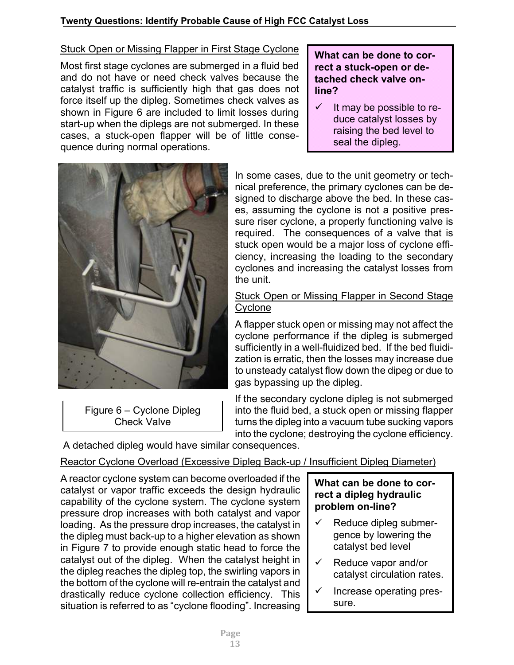# Stuck Open or Missing Flapper in First Stage Cyclone

Most first stage cyclones are submerged in a fluid bed and do not have or need check valves because the catalyst traffic is sufficiently high that gas does not force itself up the dipleg. Sometimes check valves as shown in Figure 6 are included to limit losses during start-up when the diplegs are not submerged. In these cases, a stuck-open flapper will be of little consequence during normal operations.

## **What can be done to correct a stuck-open or detached check valve online?**

 $\checkmark$  It may be possible to reduce catalyst losses by raising the bed level to seal the dipleg.



Figure 6 – Cyclone Dipleg Check Valve

In some cases, due to the unit geometry or technical preference, the primary cyclones can be designed to discharge above the bed. In these cases, assuming the cyclone is not a positive pressure riser cyclone, a properly functioning valve is required. The consequences of a valve that is stuck open would be a major loss of cyclone efficiency, increasing the loading to the secondary cyclones and increasing the catalyst losses from the unit.

## Stuck Open or Missing Flapper in Second Stage **Cyclone**

A flapper stuck open or missing may not affect the cyclone performance if the dipleg is submerged sufficiently in a well-fluidized bed. If the bed fluidization is erratic, then the losses may increase due to unsteady catalyst flow down the dipeg or due to gas bypassing up the dipleg.

If the secondary cyclone dipleg is not submerged into the fluid bed, a stuck open or missing flapper turns the dipleg into a vacuum tube sucking vapors into the cyclone; destroying the cyclone efficiency.

A detached dipleg would have similar consequences.

# Reactor Cyclone Overload (Excessive Dipleg Back-up / Insufficient Dipleg Diameter)

A reactor cyclone system can become overloaded if the catalyst or vapor traffic exceeds the design hydraulic capability of the cyclone system. The cyclone system pressure drop increases with both catalyst and vapor loading. As the pressure drop increases, the catalyst in the dipleg must back-up to a higher elevation as shown in Figure 7 to provide enough static head to force the catalyst out of the dipleg. When the catalyst height in the dipleg reaches the dipleg top, the swirling vapors in the bottom of the cyclone will re-entrain the catalyst and drastically reduce cyclone collection efficiency. This situation is referred to as "cyclone flooding". Increasing

# **What can be done to correct a dipleg hydraulic problem on-line?**

- $\checkmark$  Reduce dipleg submergence by lowering the catalyst bed level
- $\checkmark$  Reduce vapor and/or catalyst circulation rates.
- $\checkmark$  Increase operating pressure.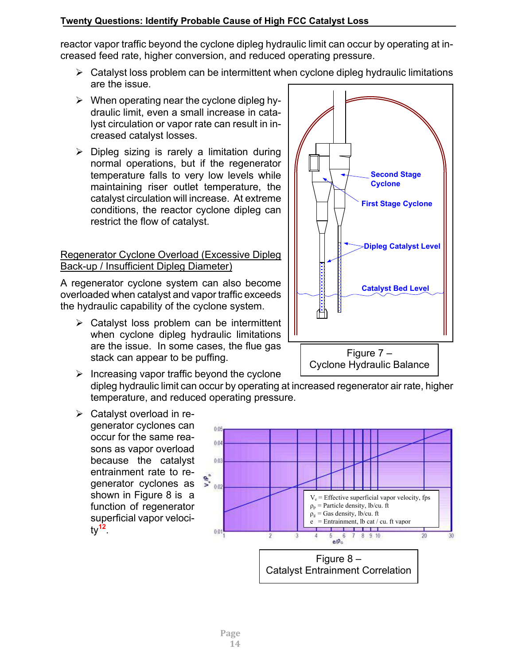reactor vapor traffic beyond the cyclone dipleg hydraulic limit can occur by operating at increased feed rate, higher conversion, and reduced operating pressure.

- $\triangleright$  Catalyst loss problem can be intermittent when cyclone dipleg hydraulic limitations are the issue.
- $\triangleright$  When operating near the cyclone dipleg hydraulic limit, even a small increase in catalyst circulation or vapor rate can result in increased catalyst losses.
- $\triangleright$  Dipleg sizing is rarely a limitation during normal operations, but if the regenerator temperature falls to very low levels while maintaining riser outlet temperature, the catalyst circulation will increase. At extreme conditions, the reactor cyclone dipleg can restrict the flow of catalyst.

## Regenerator Cyclone Overload (Excessive Dipleg Back-up / Insufficient Dipleg Diameter)

A regenerator cyclone system can also become overloaded when catalyst and vapor traffic exceeds the hydraulic capability of the cyclone system.

 $\triangleright$  Catalyst loss problem can be intermittent when cyclone dipleg hydraulic limitations are the issue. In some cases, the flue gas stack can appear to be puffing.



 $\triangleright$  Catalyst overload in regenerator cyclones can occur for the same reasons as vapor overload because the catalyst entrainment rate to regenerator cyclones as shown in Figure 8 is a function of regenerator superficial vapor velocity**<sup>12</sup>**.





Cyclone Hydraulic Balance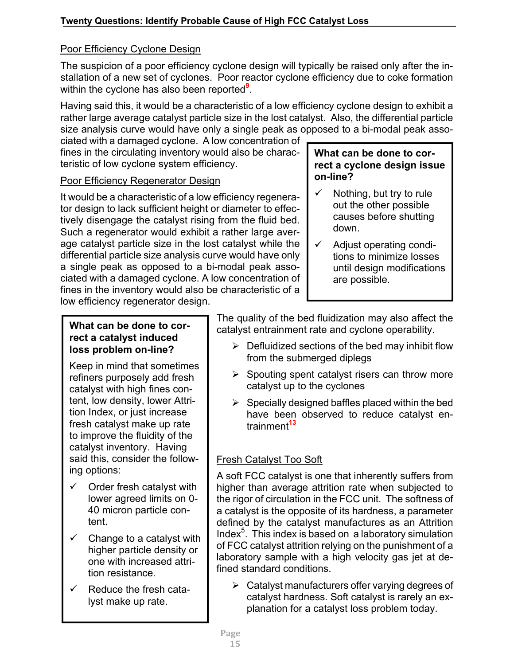# Poor Efficiency Cyclone Design

The suspicion of a poor efficiency cyclone design will typically be raised only after the installation of a new set of cyclones. Poor reactor cyclone efficiency due to coke formation within the cyclone has also been reported**<sup>9</sup>** .

Having said this, it would be a characteristic of a low efficiency cyclone design to exhibit a rather large average catalyst particle size in the lost catalyst. Also, the differential particle size analysis curve would have only a single peak as opposed to a bi-modal peak asso-

ciated with a damaged cyclone. A low concentration of fines in the circulating inventory would also be characteristic of low cyclone system efficiency.

# Poor Efficiency Regenerator Design

It would be a characteristic of a low efficiency regenerator design to lack sufficient height or diameter to effectively disengage the catalyst rising from the fluid bed. Such a regenerator would exhibit a rather large average catalyst particle size in the lost catalyst while the differential particle size analysis curve would have only a single peak as opposed to a bi-modal peak associated with a damaged cyclone. A low concentration of fines in the inventory would also be characteristic of a low efficiency regenerator design.

## **What can be done to correct a cyclone design issue on-line?**

- $\checkmark$  Nothing, but try to rule out the other possible causes before shutting down.
- $\checkmark$  Adjust operating conditions to minimize losses until design modifications are possible.

# **What can be done to correct a catalyst induced loss problem on-line?**

Keep in mind that sometimes refiners purposely add fresh catalyst with high fines content, low density, lower Attrition Index, or just increase fresh catalyst make up rate to improve the fluidity of the catalyst inventory. Having said this, consider the following options:

- $\checkmark$  Order fresh catalyst with lower agreed limits on 0- 40 micron particle content.
- $\checkmark$  Change to a catalyst with higher particle density or one with increased attrition resistance.
- $\checkmark$  Reduce the fresh catalyst make up rate.

The quality of the bed fluidization may also affect the catalyst entrainment rate and cyclone operability.

- $\triangleright$  Defluidized sections of the bed may inhibit flow from the submerged diplegs
- $\triangleright$  Spouting spent catalyst risers can throw more catalyst up to the cyclones
- $\triangleright$  Specially designed baffles placed within the bed have been observed to reduce catalyst entrainment**<sup>13</sup>**

# Fresh Catalyst Too Soft

A soft FCC catalyst is one that inherently suffers from higher than average attrition rate when subjected to the rigor of circulation in the FCC unit. The softness of a catalyst is the opposite of its hardness, a parameter defined by the catalyst manufactures as an Attrition Index $5$ . This index is based on a laboratory simulation of FCC catalyst attrition relying on the punishment of a laboratory sample with a high velocity gas jet at defined standard conditions.

 $\triangleright$  Catalyst manufacturers offer varying degrees of catalyst hardness. Soft catalyst is rarely an explanation for a catalyst loss problem today.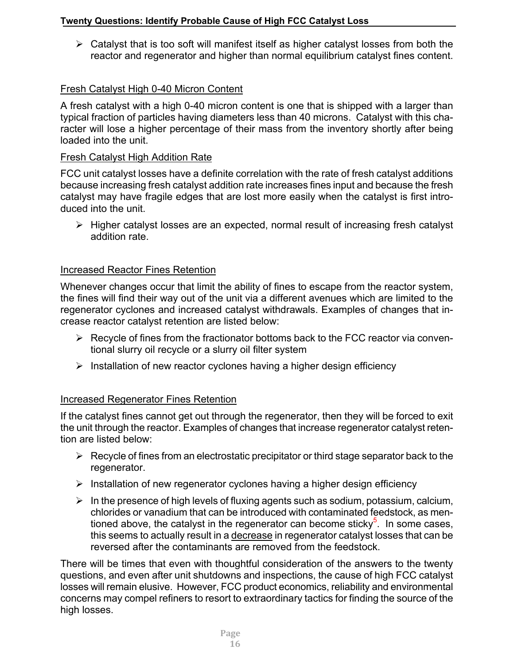$\triangleright$  Catalyst that is too soft will manifest itself as higher catalyst losses from both the reactor and regenerator and higher than normal equilibrium catalyst fines content.

# Fresh Catalyst High 0-40 Micron Content

A fresh catalyst with a high 0-40 micron content is one that is shipped with a larger than typical fraction of particles having diameters less than 40 microns. Catalyst with this character will lose a higher percentage of their mass from the inventory shortly after being loaded into the unit.

# Fresh Catalyst High Addition Rate

FCC unit catalyst losses have a definite correlation with the rate of fresh catalyst additions because increasing fresh catalyst addition rate increases fines input and because the fresh catalyst may have fragile edges that are lost more easily when the catalyst is first introduced into the unit.

 $\triangleright$  Higher catalyst losses are an expected, normal result of increasing fresh catalyst addition rate.

# Increased Reactor Fines Retention

Whenever changes occur that limit the ability of fines to escape from the reactor system, the fines will find their way out of the unit via a different avenues which are limited to the regenerator cyclones and increased catalyst withdrawals. Examples of changes that increase reactor catalyst retention are listed below:

- $\triangleright$  Recycle of fines from the fractionator bottoms back to the FCC reactor via conventional slurry oil recycle or a slurry oil filter system
- $\triangleright$  Installation of new reactor cyclones having a higher design efficiency

# Increased Regenerator Fines Retention

If the catalyst fines cannot get out through the regenerator, then they will be forced to exit the unit through the reactor. Examples of changes that increase regenerator catalyst retention are listed below:

- $\triangleright$  Recycle of fines from an electrostatic precipitator or third stage separator back to the regenerator.
- $\triangleright$  Installation of new regenerator cyclones having a higher design efficiency
- $\triangleright$  In the presence of high levels of fluxing agents such as sodium, potassium, calcium, chlorides or vanadium that can be introduced with contaminated feedstock, as mentioned above, the catalyst in the regenerator can become sticky<sup>5</sup>. In some cases, this seems to actually result in a decrease in regenerator catalyst losses that can be reversed after the contaminants are removed from the feedstock.

There will be times that even with thoughtful consideration of the answers to the twenty questions, and even after unit shutdowns and inspections, the cause of high FCC catalyst losses will remain elusive. However, FCC product economics, reliability and environmental concerns may compel refiners to resort to extraordinary tactics for finding the source of the high losses.